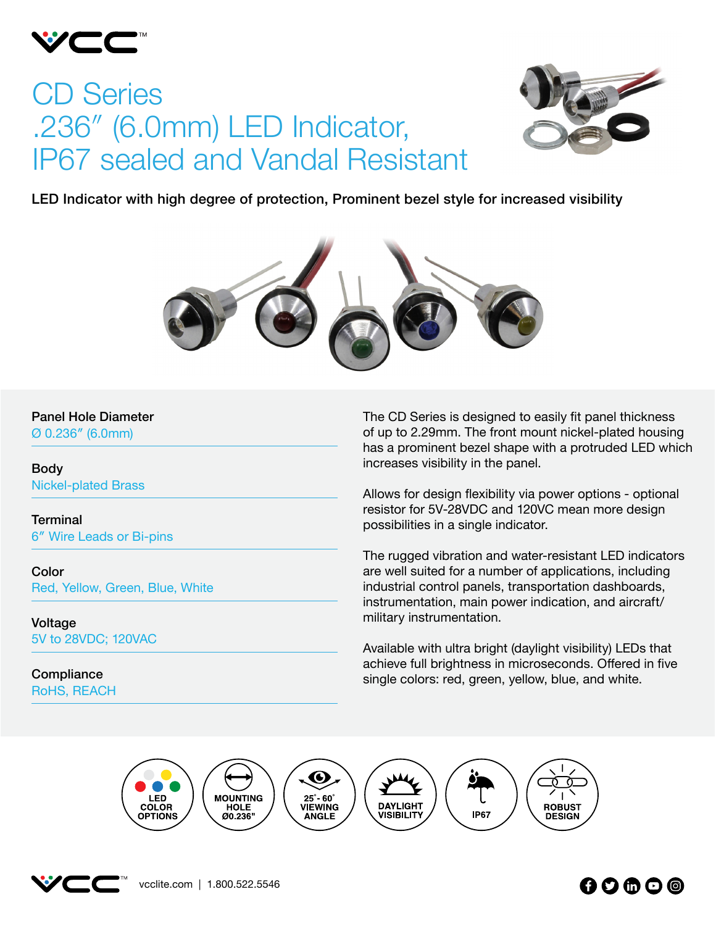

# CD Series .236″ (6.0mm) LED Indicator, IP67 sealed and Vandal Resistant



LED Indicator with high degree of protection, Prominent bezel style for increased visibility



#### Panel Hole Diameter

Ø 0.236″ (6.0mm)

Body Nickel-plated Brass

**Terminal** 6″ Wire Leads or Bi-pins

Color Red, Yellow, Green, Blue, White

Voltage 5V to 28VDC; 120VAC

**Compliance** RoHS, REACH The CD Series is designed to easily fit panel thickness of up to 2.29mm. The front mount nickel-plated housing has a prominent bezel shape with a protruded LED which increases visibility in the panel.

Allows for design flexibility via power options - optional resistor for 5V-28VDC and 120VC mean more design possibilities in a single indicator.

The rugged vibration and water-resistant LED indicators are well suited for a number of applications, including industrial control panels, transportation dashboards, instrumentation, main power indication, and aircraft/ military instrumentation.

Available with ultra bright (daylight visibility) LEDs that achieve full brightness in microseconds. Offered in five single colors: red, green, yellow, blue, and white.